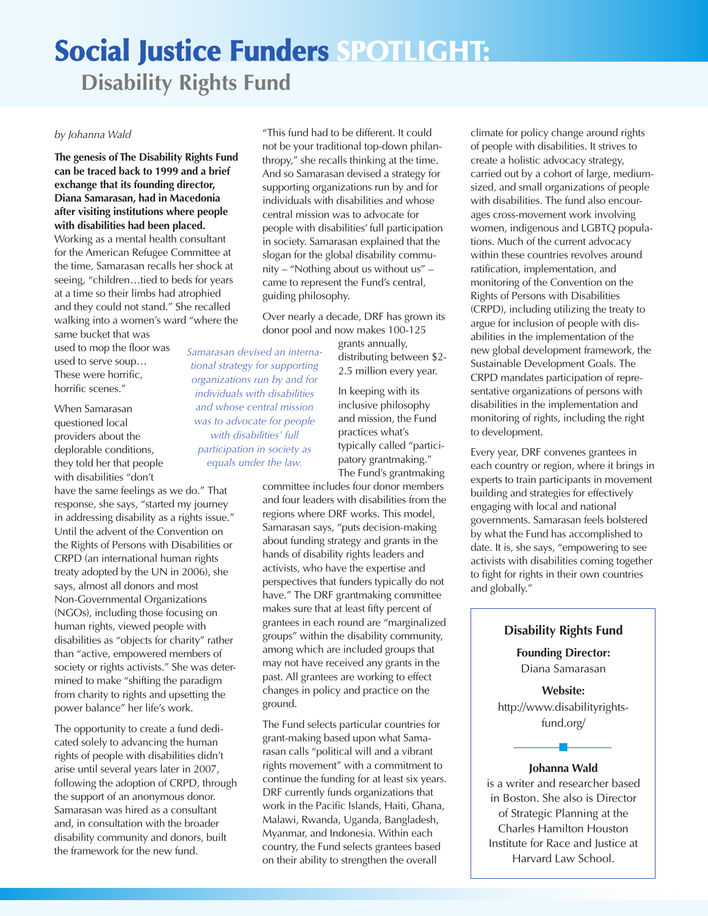# **Social Justice Funders SPOTLIGHT:**

**Disability Rights Fund**

#### *by Johanna Wald*

**The genesis of The Disability Rights Fund can be traced back to 1999 and a brief exchange that its founding director, Diana Samarasan, had in Macedonia after visiting institutions where people with disabilities had been placed.**

Working as a mental health consultant for the American Refugee Committee at the time, Samarasan recalls her shock at seeing, "children…tied to beds for years at a time so their limbs had atrophied and they could not stand." She recalled walking into a women's ward "where the same bucket that was

used to mop the floor was used to serve soup… These were horrific, horrific scenes."

When Samarasan questioned local providers about the deplorable conditions, they told her that people with disabilities "don't

have the same feelings as we do." That response, she says, "started my journey in addressing disability as a rights issue." Until the advent of the Convention on the Rights of Persons with Disabilities or CRPD (an international human rights treaty adopted by the UN in 2006), she says, almost all donors and most Non-Governmental Organizations (NGOs), including those focusing on human rights, viewed people with disabilities as "objects for charity" rather than "active, empowered members of society or rights activists." She was determined to make "shifting the paradigm from charity to rights and upsetting the power balance" her life's work.

The opportunity to create a fund dedicated solely to advancing the human rights of people with disabilities didn't arise until several years later in 2007, following the adoption of CRPD, through the support of an anonymous donor. Samarasan was hired as a consultant and, in consultation with the broader disability community and donors, built the framework for the new fund.

"This fund had to be different. It could not be your traditional top-down philanthropy," she recalls thinking at the time. And so Samarasan devised a strategy for supporting organizations run by and for individuals with disabilities and whose central mission was to advocate for people with disabilities' full participation in society. Samarasan explained that the slogan for the global disability community – "Nothing about us without us" – came to represent the Fund's central, guiding philosophy.

Over nearly a decade, DRF has grown its donor pool and now makes 100-125

> grants annually, distributing between \$2- 2.5 million every year.

In keeping with its inclusive philosophy and mission, the Fund practices what's typically called "participatory grantmaking." The Fund's grantmaking

committee includes four donor members and four leaders with disabilities from the regions where DRF works. This model, Samarasan says, "puts decision-making about funding strategy and grants in the hands of disability rights leaders and activists, who have the expertise and perspectives that funders typically do not have." The DRF grantmaking committee makes sure that at least fifty percent of grantees in each round are "marginalized groups" within the disability community, among which are included groups that may not have received any grants in the past. All grantees are working to effect changes in policy and practice on the ground.

The Fund selects particular countries for grant-making based upon what Samarasan calls "political will and a vibrant rights movement" with a commitment to continue the funding for at least six years. DRF currently funds organizations that work in the Pacific Islands, Haiti, Ghana, Malawi, Rwanda, Uganda, Bangladesh, Myanmar, and Indonesia. Within each country, the Fund selects grantees based on their ability to strengthen the overall

climate for policy change around rights of people with disabilities. It strives to create a holistic advocacy strategy, carried out by a cohort of large, mediumsized, and small organizations of people with disabilities. The fund also encourages cross-movement work involving women, indigenous and LGBTQ populations. Much of the current advocacy within these countries revolves around ratification, implementation, and monitoring of the Convention on the Rights of Persons with Disabilities (CRPD), including utilizing the treaty to argue for inclusion of people with disabilities in the implementation of the new global development framework, the Sustainable Development Goals. The CRPD mandates participation of representative organizations of persons with disabilities in the implementation and monitoring of rights, including the right to development.

Every year, DRF convenes grantees in each country or region, where it brings in experts to train participants in movement building and strategies for effectively engaging with local and national governments. Samarasan feels bolstered by what the Fund has accomplished to date. It is, she says, "empowering to see activists with disabilities coming together to fight for rights in their own countries and globally."

### **Disability Rights Fund**

**Founding Director:** Diana Samarasan

**Website:** http://www.disabilityrightsfund.org/

## n **Johanna Wald**

is a writer and researcher based in Boston. She also is Director of Strategic Planning at the Charles Hamilton Houston Institute for Race and Justice at Harvard Law School.

*tional strategy for supporting organizations run by and for individuals with disabilities and whose central mission was to advocate for people with disabilities' full participation in society as equals under the law.*

*Samarasan devised an interna-*